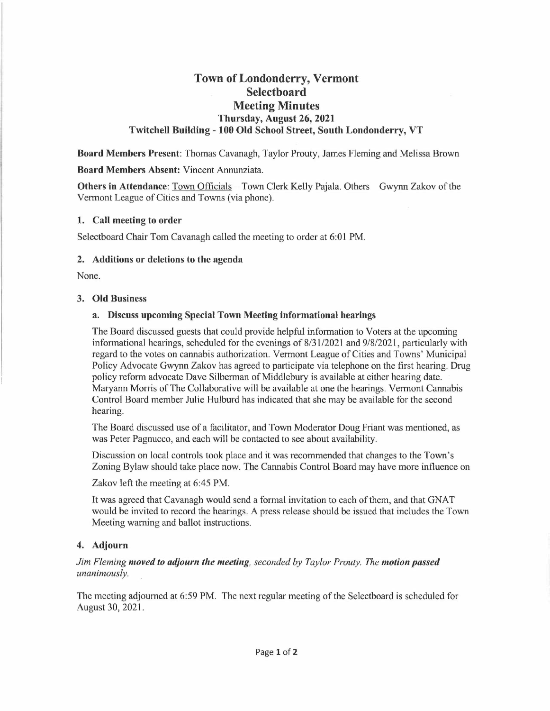# **Town of Londonderry, Vermont Selectboard Meeting Minutes Thursday, August 26, 2021 Twitchell Building - 100 Old School Street, South Londonderry, VT**

**Board Members Present:** Thomas Cavanagh, Taylor Prouty, James Fleming and Melissa Brown

#### **Board Members Absent:** Vincent Annunziata.

**Others in Attendance:** Town Officials – Town Clerk Kelly Pajala. Others – Gwynn Zakov of the Vermont League of Cities and Towns (via phone).

### **1. Call meeting to order**

Selectboard Chair Tom Cavanagh called the meeting to order at 6:01 PM.

### **2. Additions or deletions to the agenda**

None.

### **3. Old Business**

## **a. Discuss upcoming Special Town Meeting informational hearings**

The Board discussed guests that could provide helpful information to Voters at the upcoming informational hearings, scheduled for the evenings of 8/31/2021 and 9/8/2021, particularly with regard to the votes on cannabis authorization. Vermont League of Cities and Towns' Municipal Policy Advocate Gwynn Zakov has agreed to participate via telephone on the first hearing. Drug policy reform advocate Dave Silberman of Middlebury is available at either hearing date. Maryann Morris of The Collaborative will be available at one the hearings. Vermont Cannabis Control Board member Julie Hulburd has indicated that she may be available for the second hearing.

The Board discussed use of a facilitator, and Town Moderator Doug Friant was mentioned, as was Peter Pagnucco, and each will be contacted to see about availability.

Discussion on local controls took place and it was recommended that changes to the Town's Zoning Bylaw should take place now. The Cannabis Control Board may have more influence on

Zakov left the meeting at 6:45 PM.

It was agreed that Cavanagh would send a formal invitation to each of them, and that GNAT would be invited to record the hearings. A press release should be issued that includes the Town Meeting warning and ballot instructions.

## **4. Adjourn**

## *Jim Fleming moved to adjourn the meeting, seconded by Taylor Prouty. The motion passed unanimously.*

The meeting adjourned at 6:59 **PM.** The next regular meeting of the Selectboard is scheduled for August 30, 2021.